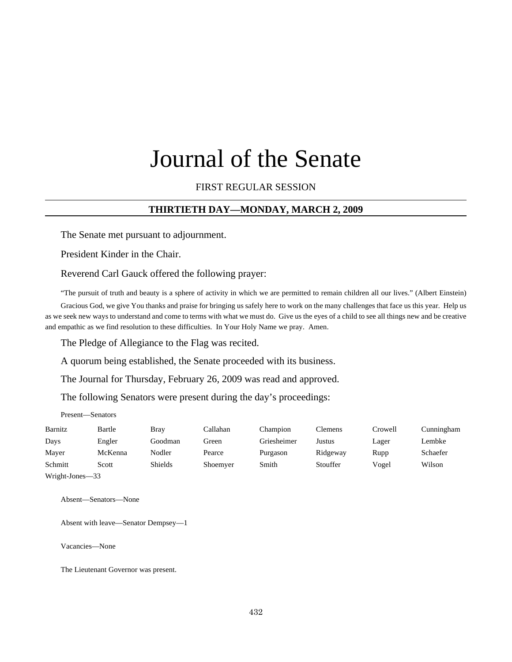# Journal of the Senate

### FIRST REGULAR SESSION

## **THIRTIETH DAY—MONDAY, MARCH 2, 2009**

The Senate met pursuant to adjournment.

President Kinder in the Chair.

Reverend Carl Gauck offered the following prayer:

"The pursuit of truth and beauty is a sphere of activity in which we are permitted to remain children all our lives." (Albert Einstein)

Gracious God, we give You thanks and praise for bringing us safely here to work on the many challenges that face us this year. Help us as we seek new ways to understand and come to terms with what we must do. Give us the eyes of a child to see all things new and be creative and empathic as we find resolution to these difficulties. In Your Holy Name we pray. Amen.

The Pledge of Allegiance to the Flag was recited.

A quorum being established, the Senate proceeded with its business.

The Journal for Thursday, February 26, 2009 was read and approved.

The following Senators were present during the day's proceedings:

Present—Senators

| Barnitz         | Bartle  | <b>Bray</b>    | Callahan | Champion    | Clemens  | Crowell | Cunningham |  |  |  |
|-----------------|---------|----------------|----------|-------------|----------|---------|------------|--|--|--|
| Days            | Engler  | Goodman        | Green    | Griesheimer | Justus   | Lager   | Lembke     |  |  |  |
| Mayer           | McKenna | Nodler         | Pearce   | Purgason    | Ridgeway | Rupp    | Schaefer   |  |  |  |
| Schmitt         | Scott   | <b>Shields</b> | Shoemyer | Smith       | Stouffer | Vogel   | Wilson     |  |  |  |
| Wright-Jones-33 |         |                |          |             |          |         |            |  |  |  |

Absent—Senators—None

Absent with leave—Senator Dempsey—1

Vacancies—None

The Lieutenant Governor was present.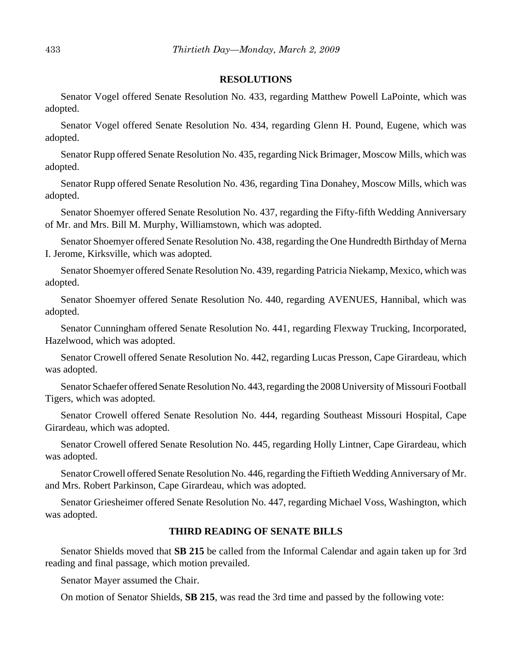#### **RESOLUTIONS**

Senator Vogel offered Senate Resolution No. 433, regarding Matthew Powell LaPointe, which was adopted.

Senator Vogel offered Senate Resolution No. 434, regarding Glenn H. Pound, Eugene, which was adopted.

Senator Rupp offered Senate Resolution No. 435, regarding Nick Brimager, Moscow Mills, which was adopted.

Senator Rupp offered Senate Resolution No. 436, regarding Tina Donahey, Moscow Mills, which was adopted.

Senator Shoemyer offered Senate Resolution No. 437, regarding the Fifty-fifth Wedding Anniversary of Mr. and Mrs. Bill M. Murphy, Williamstown, which was adopted.

Senator Shoemyer offered Senate Resolution No. 438, regarding the One Hundredth Birthday of Merna I. Jerome, Kirksville, which was adopted.

Senator Shoemyer offered Senate Resolution No. 439, regarding Patricia Niekamp, Mexico, which was adopted.

Senator Shoemyer offered Senate Resolution No. 440, regarding AVENUES, Hannibal, which was adopted.

Senator Cunningham offered Senate Resolution No. 441, regarding Flexway Trucking, Incorporated, Hazelwood, which was adopted.

Senator Crowell offered Senate Resolution No. 442, regarding Lucas Presson, Cape Girardeau, which was adopted.

Senator Schaefer offered Senate Resolution No. 443, regarding the 2008 University of Missouri Football Tigers, which was adopted.

Senator Crowell offered Senate Resolution No. 444, regarding Southeast Missouri Hospital, Cape Girardeau, which was adopted.

Senator Crowell offered Senate Resolution No. 445, regarding Holly Lintner, Cape Girardeau, which was adopted.

Senator Crowell offered Senate Resolution No. 446, regarding the Fiftieth Wedding Anniversary of Mr. and Mrs. Robert Parkinson, Cape Girardeau, which was adopted.

Senator Griesheimer offered Senate Resolution No. 447, regarding Michael Voss, Washington, which was adopted.

#### **THIRD READING OF SENATE BILLS**

Senator Shields moved that **SB 215** be called from the Informal Calendar and again taken up for 3rd reading and final passage, which motion prevailed.

Senator Mayer assumed the Chair.

On motion of Senator Shields, **SB 215**, was read the 3rd time and passed by the following vote: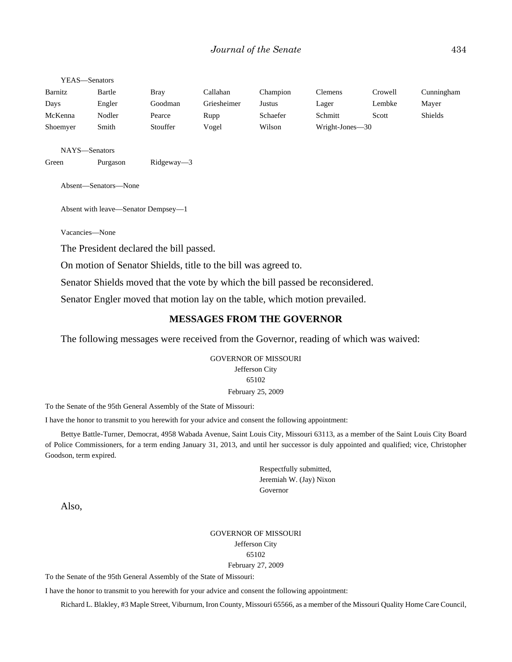#### YEAS—Senators

| Barnitz  | Bartle | Bray     | Callahan    | Champion | Clemens         | Crowell | Cunningham |
|----------|--------|----------|-------------|----------|-----------------|---------|------------|
| Days     | Engler | Goodman  | Griesheimer | Justus   | Lager           | Lembke  | Mayer      |
| McKenna  | Nodler | Pearce   | Rupp        | Schaefer | Schmitt         | Scott   | Shields    |
| Shoemyer | Smith  | Stouffer | Vogel       | Wilson   | Wright-Jones-30 |         |            |

NAYS—Senators

Green Purgason Ridgeway—3

Absent—Senators—None

Absent with leave—Senator Dempsey—1

Vacancies—None

The President declared the bill passed.

On motion of Senator Shields, title to the bill was agreed to.

Senator Shields moved that the vote by which the bill passed be reconsidered.

Senator Engler moved that motion lay on the table, which motion prevailed.

## **MESSAGES FROM THE GOVERNOR**

The following messages were received from the Governor, reading of which was waived:

GOVERNOR OF MISSOURI Jefferson City 65102 February 25, 2009

To the Senate of the 95th General Assembly of the State of Missouri:

I have the honor to transmit to you herewith for your advice and consent the following appointment:

Bettye Battle-Turner, Democrat, 4958 Wabada Avenue, Saint Louis City, Missouri 63113, as a member of the Saint Louis City Board of Police Commissioners, for a term ending January 31, 2013, and until her successor is duly appointed and qualified; vice, Christopher Goodson, term expired.

> Respectfully submitted, Jeremiah W. (Jay) Nixon Governor

Also,

#### GOVERNOR OF MISSOURI Jefferson City 65102 February 27, 2009

To the Senate of the 95th General Assembly of the State of Missouri:

I have the honor to transmit to you herewith for your advice and consent the following appointment:

Richard L. Blakley, #3 Maple Street, Viburnum, Iron County, Missouri 65566, as a member of the Missouri Quality Home Care Council,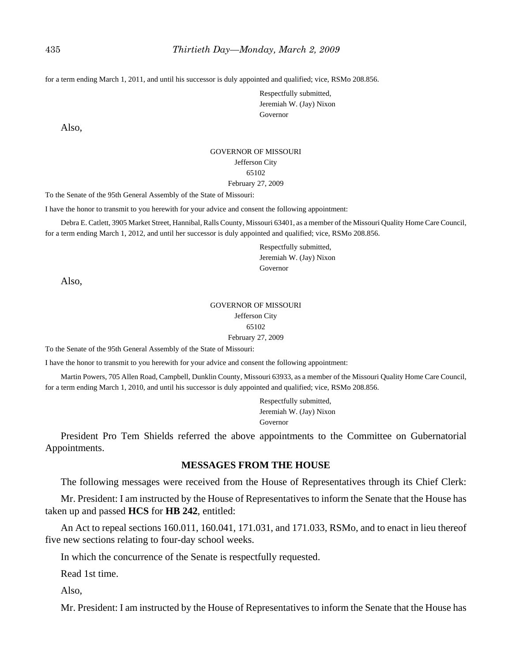for a term ending March 1, 2011, and until his successor is duly appointed and qualified; vice, RSMo 208.856.

Respectfully submitted, Jeremiah W. (Jay) Nixon Governor

Also,

## GOVERNOR OF MISSOURI Jefferson City 65102

#### February 27, 2009

To the Senate of the 95th General Assembly of the State of Missouri:

I have the honor to transmit to you herewith for your advice and consent the following appointment:

Debra E. Catlett, 3905 Market Street, Hannibal, Ralls County, Missouri 63401, as a member of the Missouri Quality Home Care Council, for a term ending March 1, 2012, and until her successor is duly appointed and qualified; vice, RSMo 208.856.

> Respectfully submitted, Jeremiah W. (Jay) Nixon Governor

Also,

#### GOVERNOR OF MISSOURI Jefferson City 65102 February 27, 2009

To the Senate of the 95th General Assembly of the State of Missouri:

I have the honor to transmit to you herewith for your advice and consent the following appointment:

Martin Powers, 705 Allen Road, Campbell, Dunklin County, Missouri 63933, as a member of the Missouri Quality Home Care Council, for a term ending March 1, 2010, and until his successor is duly appointed and qualified; vice, RSMo 208.856.

> Respectfully submitted, Jeremiah W. (Jay) Nixon Governor

President Pro Tem Shields referred the above appointments to the Committee on Gubernatorial Appointments.

## **MESSAGES FROM THE HOUSE**

The following messages were received from the House of Representatives through its Chief Clerk:

Mr. President: I am instructed by the House of Representatives to inform the Senate that the House has taken up and passed **HCS** for **HB 242**, entitled:

An Act to repeal sections 160.011, 160.041, 171.031, and 171.033, RSMo, and to enact in lieu thereof five new sections relating to four-day school weeks.

In which the concurrence of the Senate is respectfully requested.

Read 1st time.

Also,

Mr. President: I am instructed by the House of Representatives to inform the Senate that the House has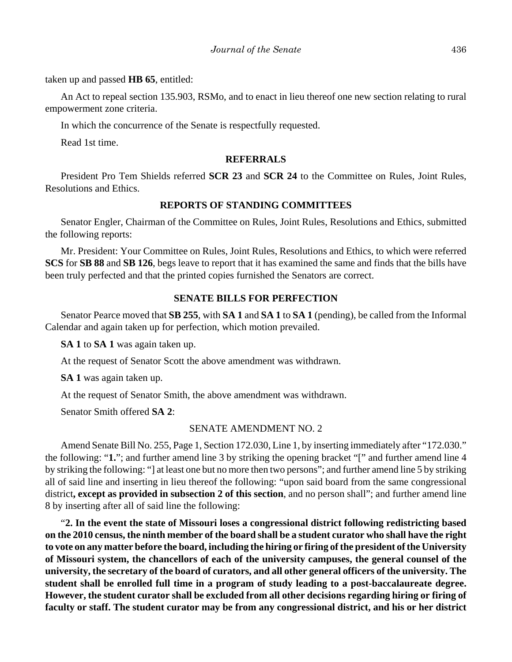taken up and passed **HB 65**, entitled:

An Act to repeal section 135.903, RSMo, and to enact in lieu thereof one new section relating to rural empowerment zone criteria.

In which the concurrence of the Senate is respectfully requested.

Read 1st time.

#### **REFERRALS**

President Pro Tem Shields referred **SCR 23** and **SCR 24** to the Committee on Rules, Joint Rules, Resolutions and Ethics.

## **REPORTS OF STANDING COMMITTEES**

Senator Engler, Chairman of the Committee on Rules, Joint Rules, Resolutions and Ethics, submitted the following reports:

Mr. President: Your Committee on Rules, Joint Rules, Resolutions and Ethics, to which were referred **SCS** for **SB 88** and **SB 126**, begs leave to report that it has examined the same and finds that the bills have been truly perfected and that the printed copies furnished the Senators are correct.

## **SENATE BILLS FOR PERFECTION**

Senator Pearce moved that **SB 255**, with **SA 1** and **SA 1** to **SA 1** (pending), be called from the Informal Calendar and again taken up for perfection, which motion prevailed.

**SA 1** to **SA 1** was again taken up.

At the request of Senator Scott the above amendment was withdrawn.

**SA 1** was again taken up.

At the request of Senator Smith, the above amendment was withdrawn.

Senator Smith offered **SA 2**:

## SENATE AMENDMENT NO. 2

Amend Senate Bill No. 255, Page 1, Section 172.030, Line 1, by inserting immediately after "172.030." the following: "**1.**"; and further amend line 3 by striking the opening bracket "[" and further amend line 4 by striking the following: "] at least one but no more then two persons"; and further amend line 5 by striking all of said line and inserting in lieu thereof the following: "upon said board from the same congressional district**, except as provided in subsection 2 of this section**, and no person shall"; and further amend line 8 by inserting after all of said line the following:

"**2. In the event the state of Missouri loses a congressional district following redistricting based on the 2010 census, the ninth member of the board shall be a student curator who shall have the right to vote on any matter before the board, including the hiring or firing of the president of the University of Missouri system, the chancellors of each of the university campuses, the general counsel of the university, the secretary of the board of curators, and all other general officers of the university. The student shall be enrolled full time in a program of study leading to a post-baccalaureate degree. However, the student curator shall be excluded from all other decisions regarding hiring or firing of faculty or staff. The student curator may be from any congressional district, and his or her district**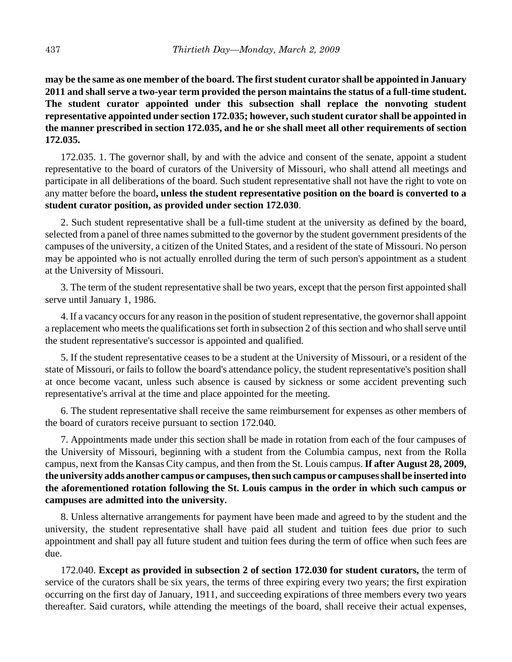**may be the same as one member of the board. The first student curator shall be appointed in January 2011 and shall serve a two-year term provided the person maintains the status of a full-time student. The student curator appointed under this subsection shall replace the nonvoting student representative appointed under section 172.035; however, such student curator shall be appointed in the manner prescribed in section 172.035, and he or she shall meet all other requirements of section 172.035.**

172.035. 1. The governor shall, by and with the advice and consent of the senate, appoint a student representative to the board of curators of the University of Missouri, who shall attend all meetings and participate in all deliberations of the board. Such student representative shall not have the right to vote on any matter before the board**, unless the student representative position on the board is converted to a student curator position, as provided under section 172.030**.

2. Such student representative shall be a full-time student at the university as defined by the board, selected from a panel of three names submitted to the governor by the student government presidents of the campuses of the university, a citizen of the United States, and a resident of the state of Missouri. No person may be appointed who is not actually enrolled during the term of such person's appointment as a student at the University of Missouri.

3. The term of the student representative shall be two years, except that the person first appointed shall serve until January 1, 1986.

4. If a vacancy occurs for any reason in the position of student representative, the governor shall appoint a replacement who meets the qualifications set forth in subsection 2 of this section and who shall serve until the student representative's successor is appointed and qualified.

5. If the student representative ceases to be a student at the University of Missouri, or a resident of the state of Missouri, or fails to follow the board's attendance policy, the student representative's position shall at once become vacant, unless such absence is caused by sickness or some accident preventing such representative's arrival at the time and place appointed for the meeting.

6. The student representative shall receive the same reimbursement for expenses as other members of the board of curators receive pursuant to section 172.040.

7. Appointments made under this section shall be made in rotation from each of the four campuses of the University of Missouri, beginning with a student from the Columbia campus, next from the Rolla campus, next from the Kansas City campus, and then from the St. Louis campus. **If after August 28, 2009, the university adds another campus or campuses, then such campus or campuses shall be inserted into the aforementioned rotation following the St. Louis campus in the order in which such campus or campuses are admitted into the university.**

8. Unless alternative arrangements for payment have been made and agreed to by the student and the university, the student representative shall have paid all student and tuition fees due prior to such appointment and shall pay all future student and tuition fees during the term of office when such fees are due.

172.040. **Except as provided in subsection 2 of section 172.030 for student curators,** the term of service of the curators shall be six years, the terms of three expiring every two years; the first expiration occurring on the first day of January, 1911, and succeeding expirations of three members every two years thereafter. Said curators, while attending the meetings of the board, shall receive their actual expenses,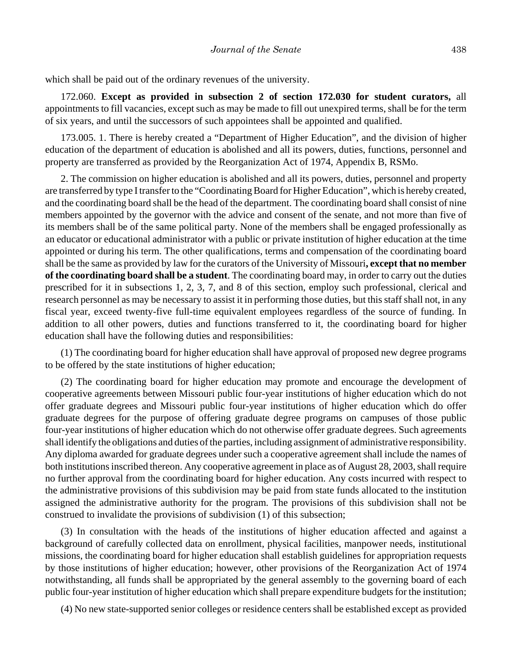which shall be paid out of the ordinary revenues of the university.

172.060. **Except as provided in subsection 2 of section 172.030 for student curators,** all appointments to fill vacancies, except such as may be made to fill out unexpired terms, shall be for the term of six years, and until the successors of such appointees shall be appointed and qualified.

173.005. 1. There is hereby created a "Department of Higher Education", and the division of higher education of the department of education is abolished and all its powers, duties, functions, personnel and property are transferred as provided by the Reorganization Act of 1974, Appendix B, RSMo.

2. The commission on higher education is abolished and all its powers, duties, personnel and property are transferred by type I transfer to the "Coordinating Board for Higher Education", which is hereby created, and the coordinating board shall be the head of the department. The coordinating board shall consist of nine members appointed by the governor with the advice and consent of the senate, and not more than five of its members shall be of the same political party. None of the members shall be engaged professionally as an educator or educational administrator with a public or private institution of higher education at the time appointed or during his term. The other qualifications, terms and compensation of the coordinating board shall be the same as provided by law for the curators of the University of Missouri**, except that no member of the coordinating board shall be a student**. The coordinating board may, in order to carry out the duties prescribed for it in subsections 1, 2, 3, 7, and 8 of this section, employ such professional, clerical and research personnel as may be necessary to assist it in performing those duties, but this staff shall not, in any fiscal year, exceed twenty-five full-time equivalent employees regardless of the source of funding. In addition to all other powers, duties and functions transferred to it, the coordinating board for higher education shall have the following duties and responsibilities:

(1) The coordinating board for higher education shall have approval of proposed new degree programs to be offered by the state institutions of higher education;

(2) The coordinating board for higher education may promote and encourage the development of cooperative agreements between Missouri public four-year institutions of higher education which do not offer graduate degrees and Missouri public four-year institutions of higher education which do offer graduate degrees for the purpose of offering graduate degree programs on campuses of those public four-year institutions of higher education which do not otherwise offer graduate degrees. Such agreements shall identify the obligations and duties of the parties, including assignment of administrative responsibility. Any diploma awarded for graduate degrees under such a cooperative agreement shall include the names of both institutions inscribed thereon. Any cooperative agreement in place as of August 28, 2003, shall require no further approval from the coordinating board for higher education. Any costs incurred with respect to the administrative provisions of this subdivision may be paid from state funds allocated to the institution assigned the administrative authority for the program. The provisions of this subdivision shall not be construed to invalidate the provisions of subdivision (1) of this subsection;

(3) In consultation with the heads of the institutions of higher education affected and against a background of carefully collected data on enrollment, physical facilities, manpower needs, institutional missions, the coordinating board for higher education shall establish guidelines for appropriation requests by those institutions of higher education; however, other provisions of the Reorganization Act of 1974 notwithstanding, all funds shall be appropriated by the general assembly to the governing board of each public four-year institution of higher education which shall prepare expenditure budgets for the institution;

(4) No new state-supported senior colleges or residence centers shall be established except as provided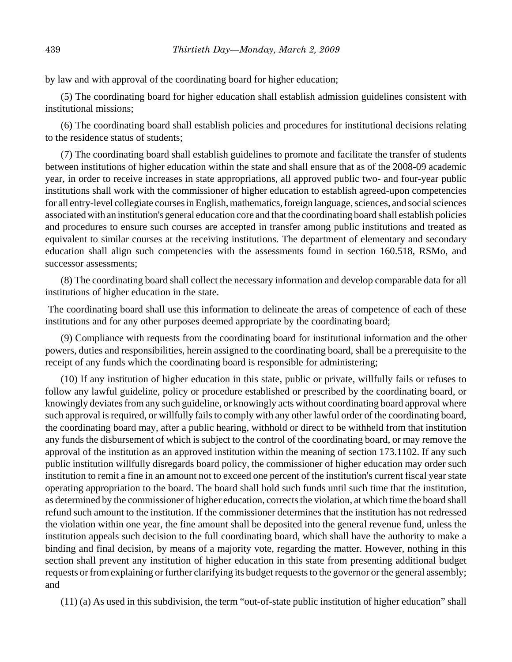by law and with approval of the coordinating board for higher education;

(5) The coordinating board for higher education shall establish admission guidelines consistent with institutional missions;

(6) The coordinating board shall establish policies and procedures for institutional decisions relating to the residence status of students;

(7) The coordinating board shall establish guidelines to promote and facilitate the transfer of students between institutions of higher education within the state and shall ensure that as of the 2008-09 academic year, in order to receive increases in state appropriations, all approved public two- and four-year public institutions shall work with the commissioner of higher education to establish agreed-upon competencies for all entry-level collegiate courses in English, mathematics, foreign language, sciences, and social sciences associated with an institution's general education core and that the coordinating board shall establish policies and procedures to ensure such courses are accepted in transfer among public institutions and treated as equivalent to similar courses at the receiving institutions. The department of elementary and secondary education shall align such competencies with the assessments found in section 160.518, RSMo, and successor assessments;

(8) The coordinating board shall collect the necessary information and develop comparable data for all institutions of higher education in the state.

 The coordinating board shall use this information to delineate the areas of competence of each of these institutions and for any other purposes deemed appropriate by the coordinating board;

(9) Compliance with requests from the coordinating board for institutional information and the other powers, duties and responsibilities, herein assigned to the coordinating board, shall be a prerequisite to the receipt of any funds which the coordinating board is responsible for administering;

(10) If any institution of higher education in this state, public or private, willfully fails or refuses to follow any lawful guideline, policy or procedure established or prescribed by the coordinating board, or knowingly deviates from any such guideline, or knowingly acts without coordinating board approval where such approval is required, or willfully fails to comply with any other lawful order of the coordinating board, the coordinating board may, after a public hearing, withhold or direct to be withheld from that institution any funds the disbursement of which is subject to the control of the coordinating board, or may remove the approval of the institution as an approved institution within the meaning of section 173.1102. If any such public institution willfully disregards board policy, the commissioner of higher education may order such institution to remit a fine in an amount not to exceed one percent of the institution's current fiscal year state operating appropriation to the board. The board shall hold such funds until such time that the institution, as determined by the commissioner of higher education, corrects the violation, at which time the board shall refund such amount to the institution. If the commissioner determines that the institution has not redressed the violation within one year, the fine amount shall be deposited into the general revenue fund, unless the institution appeals such decision to the full coordinating board, which shall have the authority to make a binding and final decision, by means of a majority vote, regarding the matter. However, nothing in this section shall prevent any institution of higher education in this state from presenting additional budget requests or from explaining or further clarifying its budget requests to the governor or the general assembly; and

(11) (a) As used in this subdivision, the term "out-of-state public institution of higher education" shall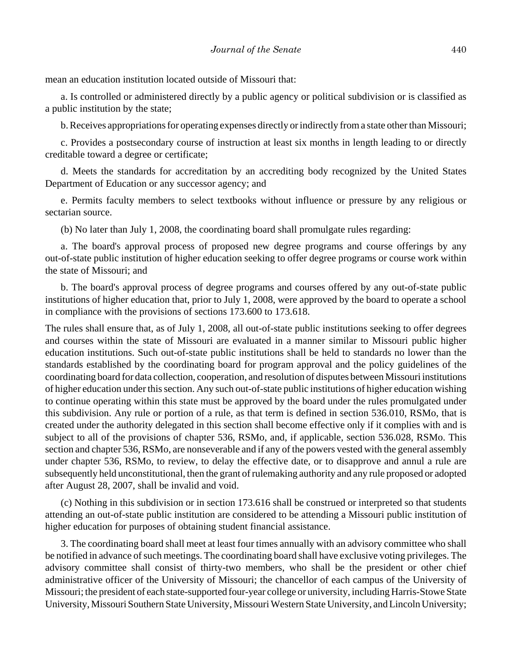mean an education institution located outside of Missouri that:

a. Is controlled or administered directly by a public agency or political subdivision or is classified as a public institution by the state;

b. Receives appropriations for operating expenses directly or indirectly from a state other than Missouri;

c. Provides a postsecondary course of instruction at least six months in length leading to or directly creditable toward a degree or certificate;

d. Meets the standards for accreditation by an accrediting body recognized by the United States Department of Education or any successor agency; and

e. Permits faculty members to select textbooks without influence or pressure by any religious or sectarian source.

(b) No later than July 1, 2008, the coordinating board shall promulgate rules regarding:

a. The board's approval process of proposed new degree programs and course offerings by any out-of-state public institution of higher education seeking to offer degree programs or course work within the state of Missouri; and

b. The board's approval process of degree programs and courses offered by any out-of-state public institutions of higher education that, prior to July 1, 2008, were approved by the board to operate a school in compliance with the provisions of sections 173.600 to 173.618.

The rules shall ensure that, as of July 1, 2008, all out-of-state public institutions seeking to offer degrees and courses within the state of Missouri are evaluated in a manner similar to Missouri public higher education institutions. Such out-of-state public institutions shall be held to standards no lower than the standards established by the coordinating board for program approval and the policy guidelines of the coordinating board for data collection, cooperation, and resolution of disputes between Missouri institutions of higher education under this section. Any such out-of-state public institutions of higher education wishing to continue operating within this state must be approved by the board under the rules promulgated under this subdivision. Any rule or portion of a rule, as that term is defined in section 536.010, RSMo, that is created under the authority delegated in this section shall become effective only if it complies with and is subject to all of the provisions of chapter 536, RSMo, and, if applicable, section 536.028, RSMo. This section and chapter 536, RSMo, are nonseverable and if any of the powers vested with the general assembly under chapter 536, RSMo, to review, to delay the effective date, or to disapprove and annul a rule are subsequently held unconstitutional, then the grant of rulemaking authority and any rule proposed or adopted after August 28, 2007, shall be invalid and void.

(c) Nothing in this subdivision or in section 173.616 shall be construed or interpreted so that students attending an out-of-state public institution are considered to be attending a Missouri public institution of higher education for purposes of obtaining student financial assistance.

3. The coordinating board shall meet at least four times annually with an advisory committee who shall be notified in advance of such meetings. The coordinating board shall have exclusive voting privileges. The advisory committee shall consist of thirty-two members, who shall be the president or other chief administrative officer of the University of Missouri; the chancellor of each campus of the University of Missouri; the president of each state-supported four-year college or university, including Harris-Stowe State University, Missouri Southern State University, Missouri Western State University, and Lincoln University;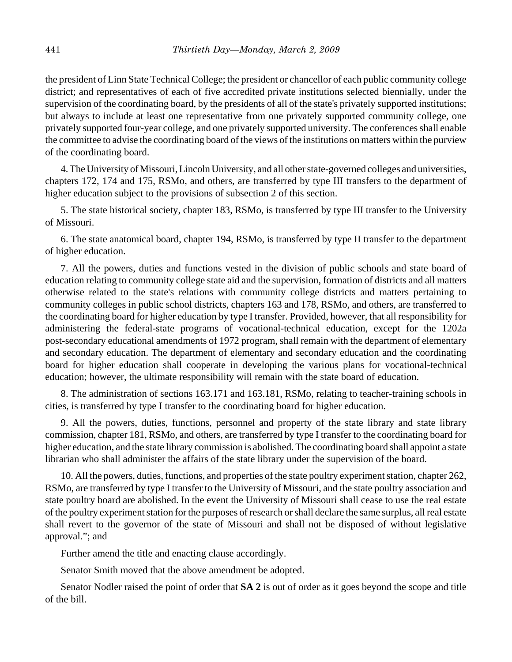the president of Linn State Technical College; the president or chancellor of each public community college district; and representatives of each of five accredited private institutions selected biennially, under the supervision of the coordinating board, by the presidents of all of the state's privately supported institutions; but always to include at least one representative from one privately supported community college, one privately supported four-year college, and one privately supported university. The conferences shall enable the committee to advise the coordinating board of the views of the institutions on matters within the purview of the coordinating board.

4. The University of Missouri, Lincoln University, and all other state-governed colleges and universities, chapters 172, 174 and 175, RSMo, and others, are transferred by type III transfers to the department of higher education subject to the provisions of subsection 2 of this section.

5. The state historical society, chapter 183, RSMo, is transferred by type III transfer to the University of Missouri.

6. The state anatomical board, chapter 194, RSMo, is transferred by type II transfer to the department of higher education.

7. All the powers, duties and functions vested in the division of public schools and state board of education relating to community college state aid and the supervision, formation of districts and all matters otherwise related to the state's relations with community college districts and matters pertaining to community colleges in public school districts, chapters 163 and 178, RSMo, and others, are transferred to the coordinating board for higher education by type I transfer. Provided, however, that all responsibility for administering the federal-state programs of vocational-technical education, except for the 1202a post-secondary educational amendments of 1972 program, shall remain with the department of elementary and secondary education. The department of elementary and secondary education and the coordinating board for higher education shall cooperate in developing the various plans for vocational-technical education; however, the ultimate responsibility will remain with the state board of education.

8. The administration of sections 163.171 and 163.181, RSMo, relating to teacher-training schools in cities, is transferred by type I transfer to the coordinating board for higher education.

9. All the powers, duties, functions, personnel and property of the state library and state library commission, chapter 181, RSMo, and others, are transferred by type I transfer to the coordinating board for higher education, and the state library commission is abolished. The coordinating board shall appoint a state librarian who shall administer the affairs of the state library under the supervision of the board.

10. All the powers, duties, functions, and properties of the state poultry experiment station, chapter 262, RSMo, are transferred by type I transfer to the University of Missouri, and the state poultry association and state poultry board are abolished. In the event the University of Missouri shall cease to use the real estate of the poultry experiment station for the purposes of research or shall declare the same surplus, all real estate shall revert to the governor of the state of Missouri and shall not be disposed of without legislative approval."; and

Further amend the title and enacting clause accordingly.

Senator Smith moved that the above amendment be adopted.

Senator Nodler raised the point of order that **SA 2** is out of order as it goes beyond the scope and title of the bill.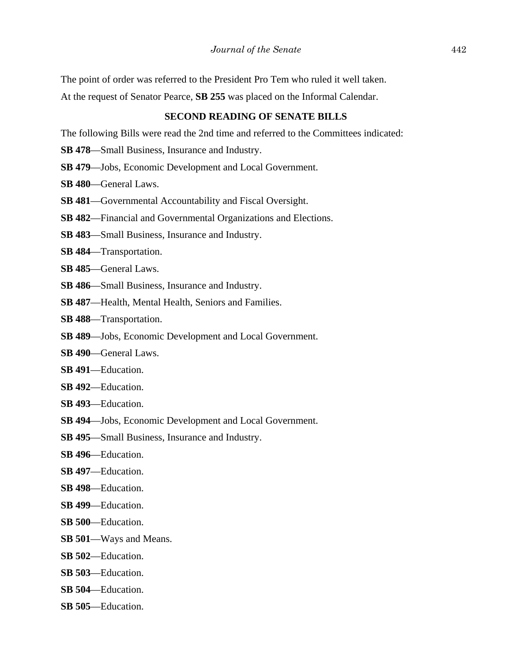The point of order was referred to the President Pro Tem who ruled it well taken.

At the request of Senator Pearce, **SB 255** was placed on the Informal Calendar.

#### **SECOND READING OF SENATE BILLS**

The following Bills were read the 2nd time and referred to the Committees indicated:

- **SB 478**—Small Business, Insurance and Industry.
- **SB 479**—Jobs, Economic Development and Local Government.
- **SB 480**—General Laws.
- **SB 481**—Governmental Accountability and Fiscal Oversight.
- **SB 482**—Financial and Governmental Organizations and Elections.
- **SB 483**—Small Business, Insurance and Industry.
- **SB 484**—Transportation.
- **SB 485**—General Laws.
- **SB 486**—Small Business, Insurance and Industry.
- **SB 487**—Health, Mental Health, Seniors and Families.
- **SB 488**—Transportation.
- **SB 489**—Jobs, Economic Development and Local Government.
- **SB 490**—General Laws.
- **SB 491**—Education.
- **SB 492**—Education.
- **SB 493**—Education.
- **SB 494**—Jobs, Economic Development and Local Government.
- **SB 495**—Small Business, Insurance and Industry.
- **SB 496**—Education.
- **SB 497**—Education.
- **SB 498**—Education.
- **SB 499**—Education.
- **SB 500**—Education.
- **SB 501**—Ways and Means.
- **SB 502**—Education.
- **SB 503**—Education.
- **SB 504**—Education.
- **SB 505**—Education.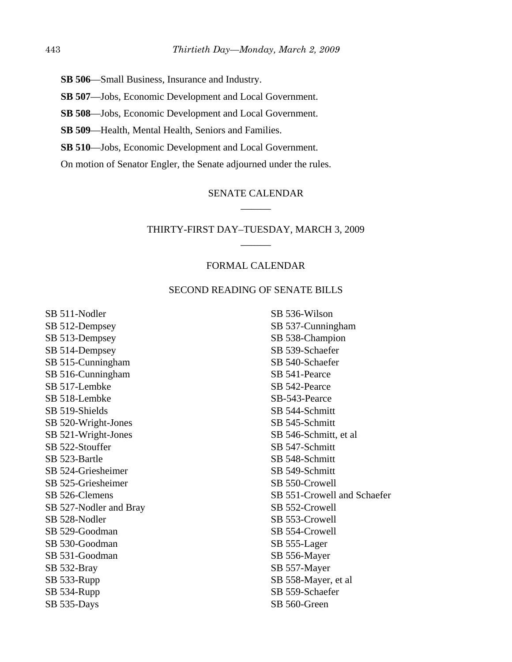- **SB 506**—Small Business, Insurance and Industry.
- **SB 507**—Jobs, Economic Development and Local Government.
- **SB 508**—Jobs, Economic Development and Local Government.
- **SB 509**—Health, Mental Health, Seniors and Families.
- **SB 510**—Jobs, Economic Development and Local Government.

On motion of Senator Engler, the Senate adjourned under the rules.

## SENATE CALENDAR \_\_\_\_\_\_

## THIRTY-FIRST DAY–TUESDAY, MARCH 3, 2009 \_\_\_\_\_\_

## FORMAL CALENDAR

## SECOND READING OF SENATE BILLS

SB 511-Nodler SB 512-Dempsey SB 513-Dempsey SB 514-Dempsey SB 515-Cunningham SB 516-Cunningham SB 517-Lembke SB 518-Lembke SB 519-Shields SB 520-Wright-Jones SB 521-Wright-Jones SB 522-Stouffer SB 523-Bartle SB 524-Griesheimer SB 525-Griesheimer SB 526-Clemens SB 527-Nodler and Bray SB 528-Nodler SB 529-Goodman SB 530-Goodman SB 531-Goodman SB 532-Bray SB 533-Rupp SB 534-Rupp SB 535-Days

SB 536-Wilson SB 537-Cunningham SB 538-Champion SB 539-Schaefer SB 540-Schaefer SB 541-Pearce SB 542-Pearce SB-543-Pearce SB 544-Schmitt SB 545-Schmitt SB 546-Schmitt, et al SB 547-Schmitt SB 548-Schmitt SB 549-Schmitt SB 550-Crowell SB 551-Crowell and Schaefer SB 552-Crowell SB 553-Crowell SB 554-Crowell SB 555-Lager SB 556-Mayer SB 557-Mayer SB 558-Mayer, et al SB 559-Schaefer SB 560-Green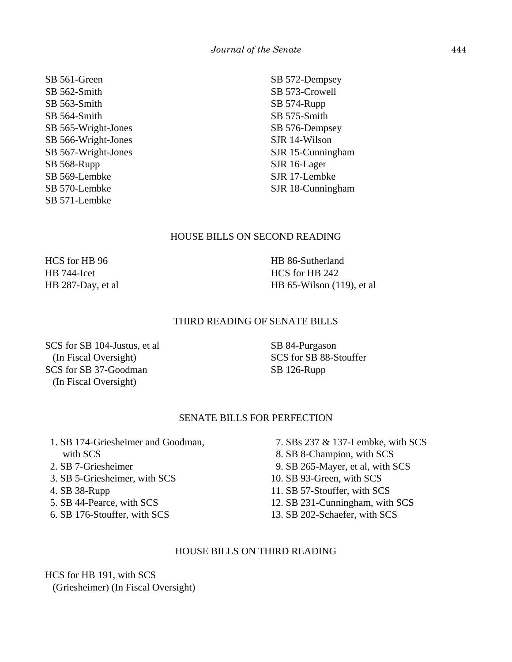SB 561-Green SB 562-Smith SB 563-Smith SB 564-Smith SB 565-Wright-Jones SB 566-Wright-Jones SB 567-Wright-Jones SB 568-Rupp SB 569-Lembke SB 570-Lembke SB 571-Lembke

SB 572-Dempsey SB 573-Crowell SB 574-Rupp SB 575-Smith SB 576-Dempsey SJR 14-Wilson SJR 15-Cunningham SJR 16-Lager SJR 17-Lembke SJR 18-Cunningham

#### HOUSE BILLS ON SECOND READING

HCS for HB 96 HB 744-Icet HB 287-Day, et al

HB 86-Sutherland HCS for HB 242 HB 65-Wilson (119), et al

## THIRD READING OF SENATE BILLS

SCS for SB 104-Justus, et al (In Fiscal Oversight) SCS for SB 37-Goodman (In Fiscal Oversight)

SB 84-Purgason SCS for SB 88-Stouffer SB 126-Rupp

## SENATE BILLS FOR PERFECTION

- 1. SB 174-Griesheimer and Goodman, with SCS 2. SB 7-Griesheimer
- 3. SB 5-Griesheimer, with SCS
- 4. SB 38-Rupp
- 5. SB 44-Pearce, with SCS
- 6. SB 176-Stouffer, with SCS
- 7. SBs 237 & 137-Lembke, with SCS 8. SB 8-Champion, with SCS 9. SB 265-Mayer, et al, with SCS 10. SB 93-Green, with SCS 11. SB 57-Stouffer, with SCS 12. SB 231-Cunningham, with SCS
- 13. SB 202-Schaefer, with SCS

#### HOUSE BILLS ON THIRD READING

HCS for HB 191, with SCS (Griesheimer) (In Fiscal Oversight)